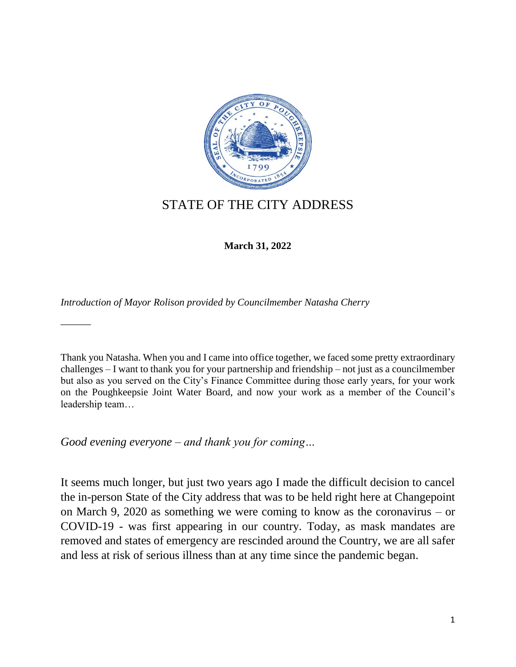

## STATE OF THE CITY ADDRESS

**March 31, 2022**

*Introduction of Mayor Rolison provided by Councilmember Natasha Cherry*

Thank you Natasha. When you and I came into office together, we faced some pretty extraordinary challenges – I want to thank you for your partnership and friendship – not just as a councilmember but also as you served on the City's Finance Committee during those early years, for your work on the Poughkeepsie Joint Water Board, and now your work as a member of the Council's leadership team…

*Good evening everyone – and thank you for coming…*

 $\overline{\phantom{a}}$ 

It seems much longer, but just two years ago I made the difficult decision to cancel the in-person State of the City address that was to be held right here at Changepoint on March 9, 2020 as something we were coming to know as the coronavirus – or COVID-19 - was first appearing in our country. Today, as mask mandates are removed and states of emergency are rescinded around the Country, we are all safer and less at risk of serious illness than at any time since the pandemic began.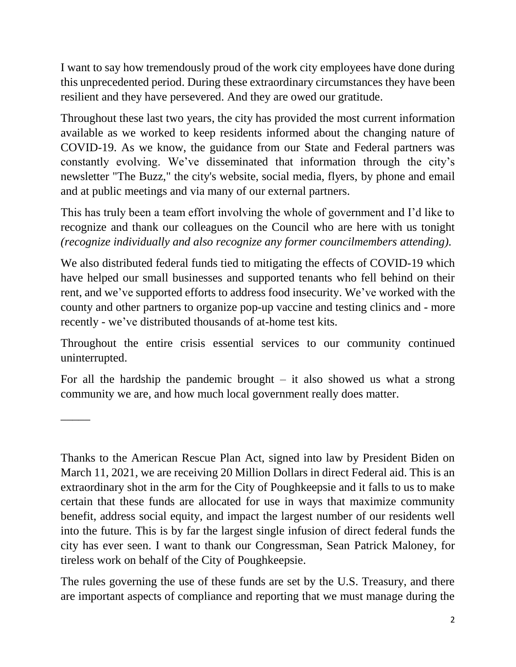I want to say how tremendously proud of the work city employees have done during this unprecedented period. During these extraordinary circumstances they have been resilient and they have persevered. And they are owed our gratitude.

Throughout these last two years, the city has provided the most current information available as we worked to keep residents informed about the changing nature of COVID-19. As we know, the guidance from our State and Federal partners was constantly evolving. We've disseminated that information through the city's newsletter "The Buzz," the city's website, social media, flyers, by phone and email and at public meetings and via many of our external partners.

This has truly been a team effort involving the whole of government and I'd like to recognize and thank our colleagues on the Council who are here with us tonight *(recognize individually and also recognize any former councilmembers attending).*

We also distributed federal funds tied to mitigating the effects of COVID-19 which have helped our small businesses and supported tenants who fell behind on their rent, and we've supported efforts to address food insecurity. We've worked with the county and other partners to organize pop-up vaccine and testing clinics and - more recently - we've distributed thousands of at-home test kits.

Throughout the entire crisis essential services to our community continued uninterrupted.

For all the hardship the pandemic brought  $-$  it also showed us what a strong community we are, and how much local government really does matter.

\_\_\_\_\_

Thanks to the American Rescue Plan Act, signed into law by President Biden on March 11, 2021, we are receiving 20 Million Dollars in direct Federal aid. This is an extraordinary shot in the arm for the City of Poughkeepsie and it falls to us to make certain that these funds are allocated for use in ways that maximize community benefit, address social equity, and impact the largest number of our residents well into the future. This is by far the largest single infusion of direct federal funds the city has ever seen. I want to thank our Congressman, Sean Patrick Maloney, for tireless work on behalf of the City of Poughkeepsie.

The rules governing the use of these funds are set by the U.S. Treasury, and there are important aspects of compliance and reporting that we must manage during the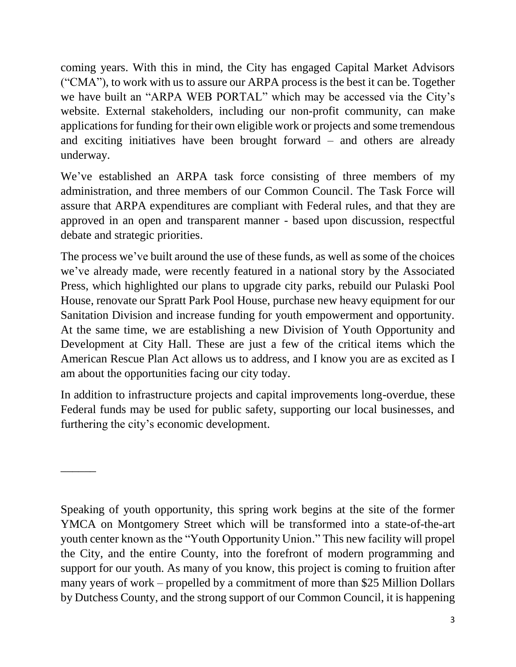coming years. With this in mind, the City has engaged Capital Market Advisors ("CMA"), to work with us to assure our ARPA process is the best it can be. Together we have built an "ARPA WEB PORTAL" which may be accessed via the City's website. External stakeholders, including our non-profit community, can make applications for funding for their own eligible work or projects and some tremendous and exciting initiatives have been brought forward – and others are already underway.

We've established an ARPA task force consisting of three members of my administration, and three members of our Common Council. The Task Force will assure that ARPA expenditures are compliant with Federal rules, and that they are approved in an open and transparent manner - based upon discussion, respectful debate and strategic priorities.

The process we've built around the use of these funds, as well as some of the choices we've already made, were recently featured in a national story by the Associated Press, which highlighted our plans to upgrade city parks, rebuild our Pulaski Pool House, renovate our Spratt Park Pool House, purchase new heavy equipment for our Sanitation Division and increase funding for youth empowerment and opportunity. At the same time, we are establishing a new Division of Youth Opportunity and Development at City Hall. These are just a few of the critical items which the American Rescue Plan Act allows us to address, and I know you are as excited as I am about the opportunities facing our city today.

In addition to infrastructure projects and capital improvements long-overdue, these Federal funds may be used for public safety, supporting our local businesses, and furthering the city's economic development.

 $\overline{\phantom{a}}$ 

Speaking of youth opportunity, this spring work begins at the site of the former YMCA on Montgomery Street which will be transformed into a state-of-the-art youth center known as the "Youth Opportunity Union." This new facility will propel the City, and the entire County, into the forefront of modern programming and support for our youth. As many of you know, this project is coming to fruition after many years of work – propelled by a commitment of more than \$25 Million Dollars by Dutchess County, and the strong support of our Common Council, it is happening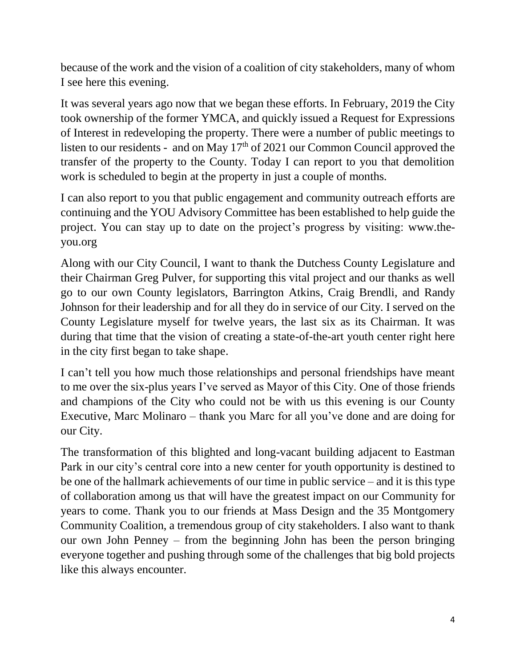because of the work and the vision of a coalition of city stakeholders, many of whom I see here this evening.

It was several years ago now that we began these efforts. In February, 2019 the City took ownership of the former YMCA, and quickly issued a Request for Expressions of Interest in redeveloping the property. There were a number of public meetings to listen to our residents - and on May  $17<sup>th</sup>$  of 2021 our Common Council approved the transfer of the property to the County. Today I can report to you that demolition work is scheduled to begin at the property in just a couple of months*.*

I can also report to you that public engagement and community outreach efforts are continuing and the YOU Advisory Committee has been established to help guide the project. You can stay up to date on the project's progress by visiting: www.theyou.org

Along with our City Council, I want to thank the Dutchess County Legislature and their Chairman Greg Pulver, for supporting this vital project and our thanks as well go to our own County legislators, Barrington Atkins, Craig Brendli, and Randy Johnson for their leadership and for all they do in service of our City*.* I served on the County Legislature myself for twelve years, the last six as its Chairman. It was during that time that the vision of creating a state-of-the-art youth center right here in the city first began to take shape.

I can't tell you how much those relationships and personal friendships have meant to me over the six-plus years I've served as Mayor of this City. One of those friends and champions of the City who could not be with us this evening is our County Executive, Marc Molinaro – thank you Marc for all you've done and are doing for our City.

The transformation of this blighted and long-vacant building adjacent to Eastman Park in our city's central core into a new center for youth opportunity is destined to be one of the hallmark achievements of our time in public service – and it is this type of collaboration among us that will have the greatest impact on our Community for years to come. Thank you to our friends at Mass Design and the 35 Montgomery Community Coalition, a tremendous group of city stakeholders. I also want to thank our own John Penney – from the beginning John has been the person bringing everyone together and pushing through some of the challenges that big bold projects like this always encounter.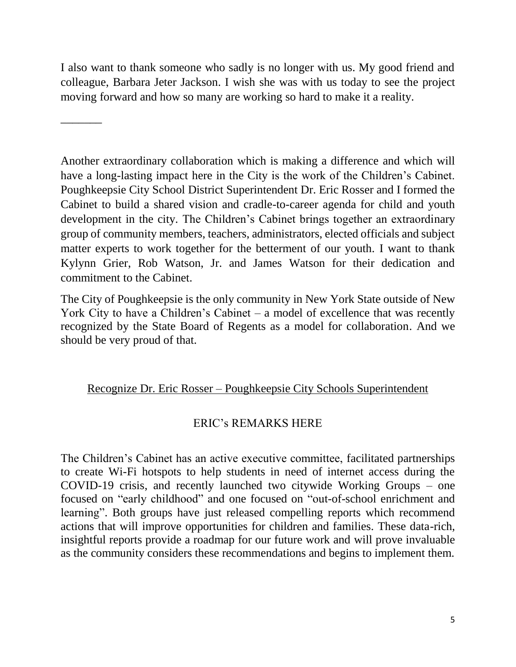I also want to thank someone who sadly is no longer with us. My good friend and colleague, Barbara Jeter Jackson. I wish she was with us today to see the project moving forward and how so many are working so hard to make it a reality.

\_\_\_\_\_\_\_

Another extraordinary collaboration which is making a difference and which will have a long-lasting impact here in the City is the work of the Children's Cabinet. Poughkeepsie City School District Superintendent Dr. Eric Rosser and I formed the Cabinet to build a shared vision and cradle-to-career agenda for child and youth development in the city. The Children's Cabinet brings together an extraordinary group of community members, teachers, administrators, elected officials and subject matter experts to work together for the betterment of our youth. I want to thank Kylynn Grier, Rob Watson, Jr. and James Watson for their dedication and commitment to the Cabinet.

The City of Poughkeepsie is the only community in New York State outside of New York City to have a Children's Cabinet – a model of excellence that was recently recognized by the State Board of Regents as a model for collaboration. And we should be very proud of that.

## Recognize Dr. Eric Rosser – Poughkeepsie City Schools Superintendent

## ERIC's REMARKS HERE

The Children's Cabinet has an active executive committee, facilitated partnerships to create Wi-Fi hotspots to help students in need of internet access during the COVID-19 crisis, and recently launched two citywide Working Groups – one focused on "early childhood" and one focused on "out-of-school enrichment and learning". Both groups have just released compelling reports which recommend actions that will improve opportunities for children and families. These data-rich, insightful reports provide a roadmap for our future work and will prove invaluable as the community considers these recommendations and begins to implement them.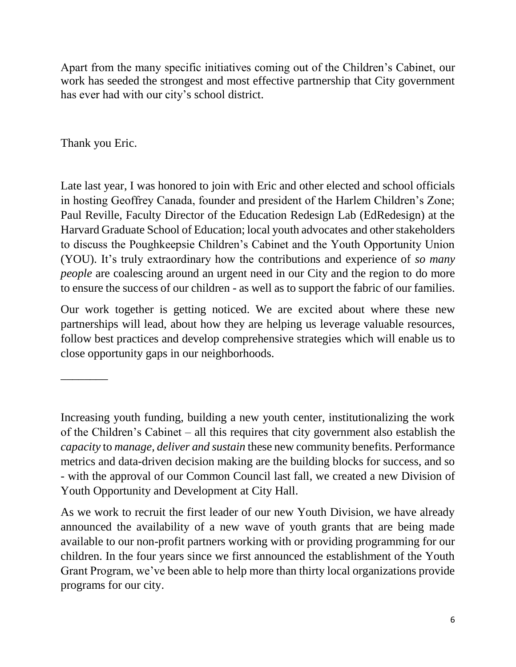Apart from the many specific initiatives coming out of the Children's Cabinet, our work has seeded the strongest and most effective partnership that City government has ever had with our city's school district.

Thank you Eric.

\_\_\_\_\_\_\_\_

Late last year, I was honored to join with Eric and other elected and school officials in hosting Geoffrey Canada, founder and president of the Harlem Children's Zone; Paul Reville, Faculty Director of the Education Redesign Lab (EdRedesign) at the Harvard Graduate School of Education; local youth advocates and other stakeholders to discuss the Poughkeepsie Children's Cabinet and the Youth Opportunity Union (YOU). It's truly extraordinary how the contributions and experience of *so many people* are coalescing around an urgent need in our City and the region to do more to ensure the success of our children - as well as to support the fabric of our families.

Our work together is getting noticed. We are excited about where these new partnerships will lead, about how they are helping us leverage valuable resources, follow best practices and develop comprehensive strategies which will enable us to close opportunity gaps in our neighborhoods.

Increasing youth funding, building a new youth center, institutionalizing the work of the Children's Cabinet – all this requires that city government also establish the *capacity* to *manage, deliver and sustain* these new community benefits. Performance metrics and data-driven decision making are the building blocks for success, and so - with the approval of our Common Council last fall, we created a new Division of Youth Opportunity and Development at City Hall.

As we work to recruit the first leader of our new Youth Division, we have already announced the availability of a new wave of youth grants that are being made available to our non-profit partners working with or providing programming for our children. In the four years since we first announced the establishment of the Youth Grant Program, we've been able to help more than thirty local organizations provide programs for our city.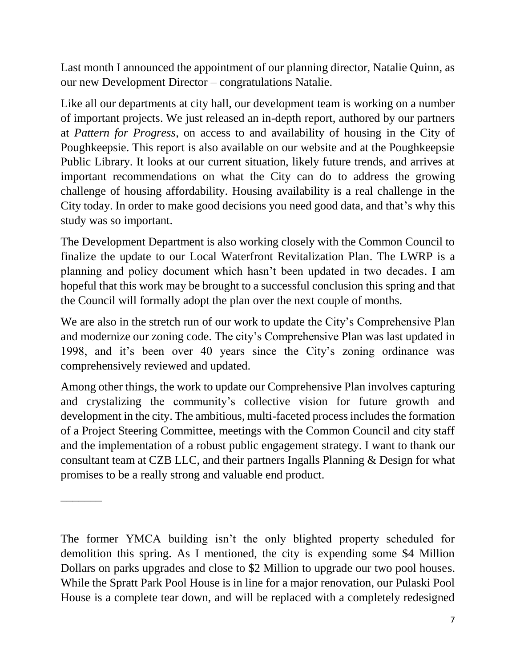Last month I announced the appointment of our planning director, Natalie Quinn, as our new Development Director – congratulations Natalie.

Like all our departments at city hall, our development team is working on a number of important projects. We just released an in-depth report, authored by our partners at *Pattern for Progress*, on access to and availability of housing in the City of Poughkeepsie. This report is also available on our website and at the Poughkeepsie Public Library. It looks at our current situation, likely future trends, and arrives at important recommendations on what the City can do to address the growing challenge of housing affordability. Housing availability is a real challenge in the City today. In order to make good decisions you need good data, and that's why this study was so important.

The Development Department is also working closely with the Common Council to finalize the update to our Local Waterfront Revitalization Plan. The LWRP is a planning and policy document which hasn't been updated in two decades. I am hopeful that this work may be brought to a successful conclusion this spring and that the Council will formally adopt the plan over the next couple of months.

We are also in the stretch run of our work to update the City's Comprehensive Plan and modernize our zoning code. The city's Comprehensive Plan was last updated in 1998, and it's been over 40 years since the City's zoning ordinance was comprehensively reviewed and updated.

Among other things, the work to update our Comprehensive Plan involves capturing and crystalizing the community's collective vision for future growth and development in the city. The ambitious, multi-faceted process includes the formation of a Project Steering Committee, meetings with the Common Council and city staff and the implementation of a robust public engagement strategy. I want to thank our consultant team at CZB LLC, and their partners Ingalls Planning & Design for what promises to be a really strong and valuable end product.

\_\_\_\_\_\_\_

The former YMCA building isn't the only blighted property scheduled for demolition this spring. As I mentioned, the city is expending some \$4 Million Dollars on parks upgrades and close to \$2 Million to upgrade our two pool houses. While the Spratt Park Pool House is in line for a major renovation, our Pulaski Pool House is a complete tear down, and will be replaced with a completely redesigned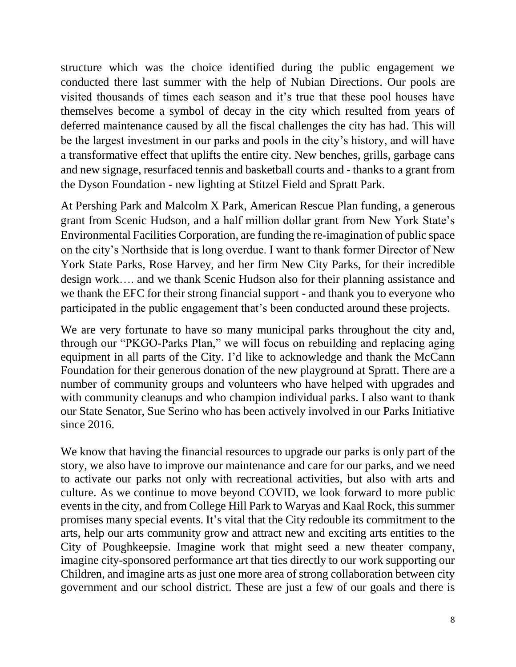structure which was the choice identified during the public engagement we conducted there last summer with the help of Nubian Directions. Our pools are visited thousands of times each season and it's true that these pool houses have themselves become a symbol of decay in the city which resulted from years of deferred maintenance caused by all the fiscal challenges the city has had. This will be the largest investment in our parks and pools in the city's history, and will have a transformative effect that uplifts the entire city. New benches, grills, garbage cans and new signage, resurfaced tennis and basketball courts and - thanks to a grant from the Dyson Foundation - new lighting at Stitzel Field and Spratt Park.

At Pershing Park and Malcolm X Park, American Rescue Plan funding, a generous grant from Scenic Hudson, and a half million dollar grant from New York State's Environmental Facilities Corporation, are funding the re-imagination of public space on the city's Northside that is long overdue. I want to thank former Director of New York State Parks, Rose Harvey, and her firm New City Parks, for their incredible design work…. and we thank Scenic Hudson also for their planning assistance and we thank the EFC for their strong financial support - and thank you to everyone who participated in the public engagement that's been conducted around these projects.

We are very fortunate to have so many municipal parks throughout the city and, through our "PKGO-Parks Plan," we will focus on rebuilding and replacing aging equipment in all parts of the City. I'd like to acknowledge and thank the McCann Foundation for their generous donation of the new playground at Spratt. There are a number of community groups and volunteers who have helped with upgrades and with community cleanups and who champion individual parks. I also want to thank our State Senator, Sue Serino who has been actively involved in our Parks Initiative since 2016.

We know that having the financial resources to upgrade our parks is only part of the story, we also have to improve our maintenance and care for our parks, and we need to activate our parks not only with recreational activities, but also with arts and culture. As we continue to move beyond COVID, we look forward to more public events in the city, and from College Hill Park to Waryas and Kaal Rock, this summer promises many special events. It's vital that the City redouble its commitment to the arts, help our arts community grow and attract new and exciting arts entities to the City of Poughkeepsie. Imagine work that might seed a new theater company, imagine city-sponsored performance art that ties directly to our work supporting our Children, and imagine arts as just one more area of strong collaboration between city government and our school district. These are just a few of our goals and there is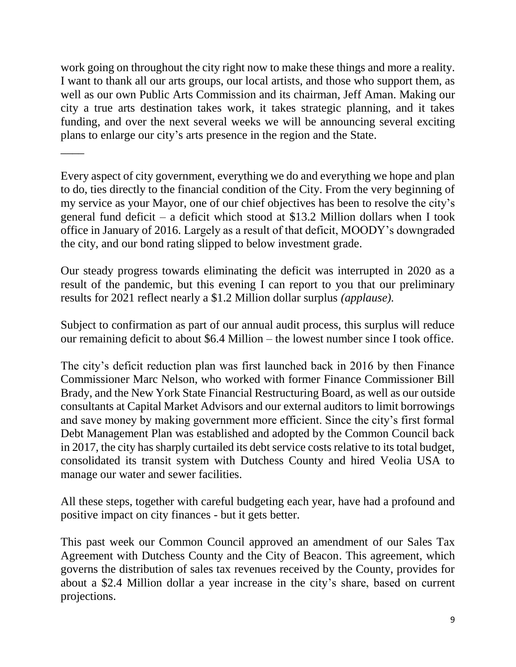work going on throughout the city right now to make these things and more a reality. I want to thank all our arts groups, our local artists, and those who support them, as well as our own Public Arts Commission and its chairman, Jeff Aman. Making our city a true arts destination takes work, it takes strategic planning, and it takes funding, and over the next several weeks we will be announcing several exciting plans to enlarge our city's arts presence in the region and the State.

 $\overline{\phantom{a}}$ 

Every aspect of city government, everything we do and everything we hope and plan to do, ties directly to the financial condition of the City. From the very beginning of my service as your Mayor, one of our chief objectives has been to resolve the city's general fund deficit – a deficit which stood at \$13.2 Million dollars when I took office in January of 2016. Largely as a result of that deficit, MOODY's downgraded the city, and our bond rating slipped to below investment grade.

Our steady progress towards eliminating the deficit was interrupted in 2020 as a result of the pandemic, but this evening I can report to you that our preliminary results for 2021 reflect nearly a \$1.2 Million dollar surplus *(applause).*

Subject to confirmation as part of our annual audit process, this surplus will reduce our remaining deficit to about \$6.4 Million – the lowest number since I took office.

The city's deficit reduction plan was first launched back in 2016 by then Finance Commissioner Marc Nelson, who worked with former Finance Commissioner Bill Brady, and the New York State Financial Restructuring Board, as well as our outside consultants at Capital Market Advisors and our external auditors to limit borrowings and save money by making government more efficient. Since the city's first formal Debt Management Plan was established and adopted by the Common Council back in 2017, the city has sharply curtailed its debt service costs relative to its total budget, consolidated its transit system with Dutchess County and hired Veolia USA to manage our water and sewer facilities.

All these steps, together with careful budgeting each year, have had a profound and positive impact on city finances - but it gets better.

This past week our Common Council approved an amendment of our Sales Tax Agreement with Dutchess County and the City of Beacon. This agreement, which governs the distribution of sales tax revenues received by the County, provides for about a \$2.4 Million dollar a year increase in the city's share, based on current projections.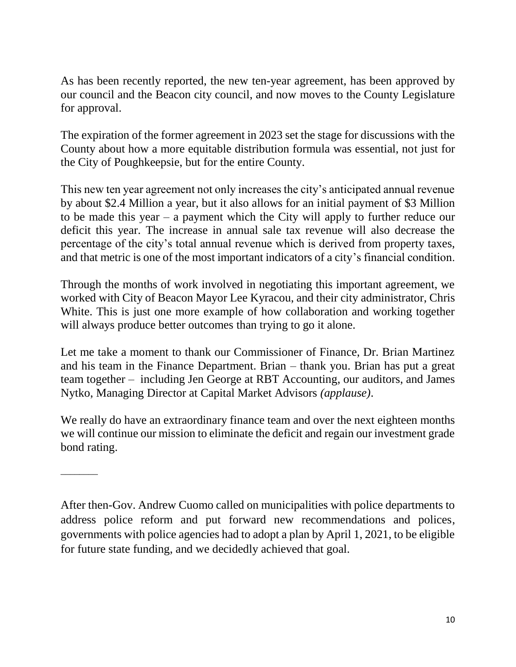As has been recently reported, the new ten-year agreement, has been approved by our council and the Beacon city council, and now moves to the County Legislature for approval.

The expiration of the former agreement in 2023 set the stage for discussions with the County about how a more equitable distribution formula was essential, not just for the City of Poughkeepsie, but for the entire County.

This new ten year agreement not only increases the city's anticipated annual revenue by about \$2.4 Million a year, but it also allows for an initial payment of \$3 Million to be made this year – a payment which the City will apply to further reduce our deficit this year. The increase in annual sale tax revenue will also decrease the percentage of the city's total annual revenue which is derived from property taxes, and that metric is one of the most important indicators of a city's financial condition.

Through the months of work involved in negotiating this important agreement, we worked with City of Beacon Mayor Lee Kyracou, and their city administrator, Chris White. This is just one more example of how collaboration and working together will always produce better outcomes than trying to go it alone.

Let me take a moment to thank our Commissioner of Finance, Dr. Brian Martinez and his team in the Finance Department. Brian – thank you. Brian has put a great team together – including Jen George at RBT Accounting, our auditors, and James Nytko, Managing Director at Capital Market Advisors *(applause)*.

We really do have an extraordinary finance team and over the next eighteen months we will continue our mission to eliminate the deficit and regain our investment grade bond rating.

\_\_\_\_\_\_\_\_

After then-Gov. Andrew Cuomo called on municipalities with police departments to address police reform and put forward new recommendations and polices, governments with police agencies had to adopt a plan by April 1, 2021, to be eligible for future state funding, and we decidedly achieved that goal.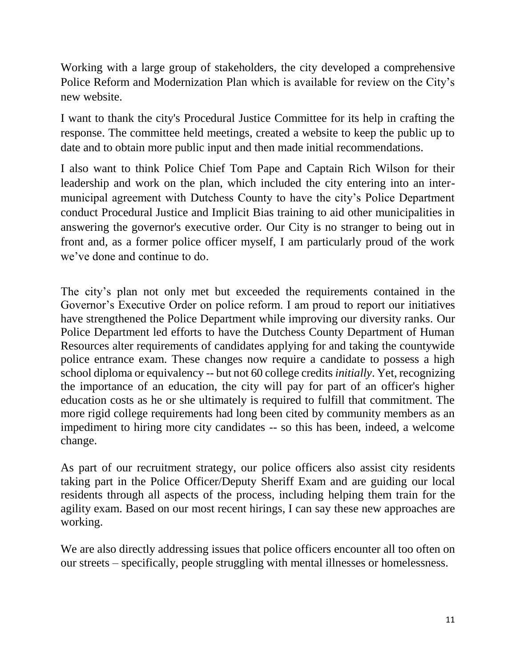Working with a large group of stakeholders, the city developed a comprehensive Police Reform and Modernization Plan which is available for review on the City's new website.

I want to thank the city's Procedural Justice Committee for its help in crafting the response. The committee held meetings, created a website to keep the public up to date and to obtain more public input and then made initial recommendations.

I also want to think Police Chief Tom Pape and Captain Rich Wilson for their leadership and work on the plan, which included the city entering into an intermunicipal agreement with Dutchess County to have the city's Police Department conduct Procedural Justice and Implicit Bias training to aid other municipalities in answering the governor's executive order. Our City is no stranger to being out in front and, as a former police officer myself, I am particularly proud of the work we've done and continue to do.

The city's plan not only met but exceeded the requirements contained in the Governor's Executive Order on police reform. I am proud to report our initiatives have strengthened the Police Department while improving our diversity ranks. Our Police Department led efforts to have the Dutchess County Department of Human Resources alter requirements of candidates applying for and taking the countywide police entrance exam. These changes now require a candidate to possess a high school diploma or equivalency -- but not 60 college credits *initially*. Yet, recognizing the importance of an education, the city will pay for part of an officer's higher education costs as he or she ultimately is required to fulfill that commitment. The more rigid college requirements had long been cited by community members as an impediment to hiring more city candidates -- so this has been, indeed, a welcome change.

As part of our recruitment strategy, our police officers also assist city residents taking part in the Police Officer/Deputy Sheriff Exam and are guiding our local residents through all aspects of the process, including helping them train for the agility exam. Based on our most recent hirings, I can say these new approaches are working.

We are also directly addressing issues that police officers encounter all too often on our streets – specifically, people struggling with mental illnesses or homelessness.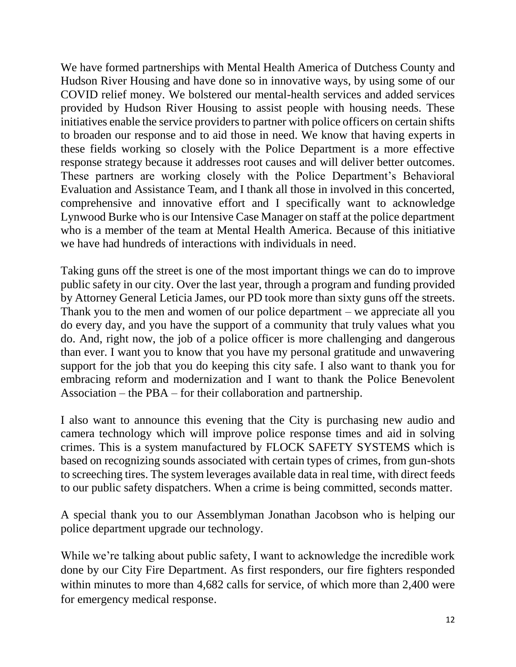We have formed partnerships with Mental Health America of Dutchess County and Hudson River Housing and have done so in innovative ways, by using some of our COVID relief money. We bolstered our mental-health services and added services provided by Hudson River Housing to assist people with housing needs. These initiatives enable the service providers to partner with police officers on certain shifts to broaden our response and to aid those in need. We know that having experts in these fields working so closely with the Police Department is a more effective response strategy because it addresses root causes and will deliver better outcomes. These partners are working closely with the Police Department's Behavioral Evaluation and Assistance Team, and I thank all those in involved in this concerted, comprehensive and innovative effort and I specifically want to acknowledge Lynwood Burke who is our Intensive Case Manager on staff at the police department who is a member of the team at Mental Health America. Because of this initiative we have had hundreds of interactions with individuals in need.

Taking guns off the street is one of the most important things we can do to improve public safety in our city. Over the last year, through a program and funding provided by Attorney General Leticia James, our PD took more than sixty guns off the streets. Thank you to the men and women of our police department – we appreciate all you do every day, and you have the support of a community that truly values what you do. And, right now, the job of a police officer is more challenging and dangerous than ever. I want you to know that you have my personal gratitude and unwavering support for the job that you do keeping this city safe. I also want to thank you for embracing reform and modernization and I want to thank the Police Benevolent Association – the PBA – for their collaboration and partnership.

I also want to announce this evening that the City is purchasing new audio and camera technology which will improve police response times and aid in solving crimes. This is a system manufactured by FLOCK SAFETY SYSTEMS which is based on recognizing sounds associated with certain types of crimes, from gun-shots to screeching tires. The system leverages available data in real time, with direct feeds to our public safety dispatchers. When a crime is being committed, seconds matter.

A special thank you to our Assemblyman Jonathan Jacobson who is helping our police department upgrade our technology.

While we're talking about public safety, I want to acknowledge the incredible work done by our City Fire Department. As first responders, our fire fighters responded within minutes to more than 4,682 calls for service, of which more than 2,400 were for emergency medical response.